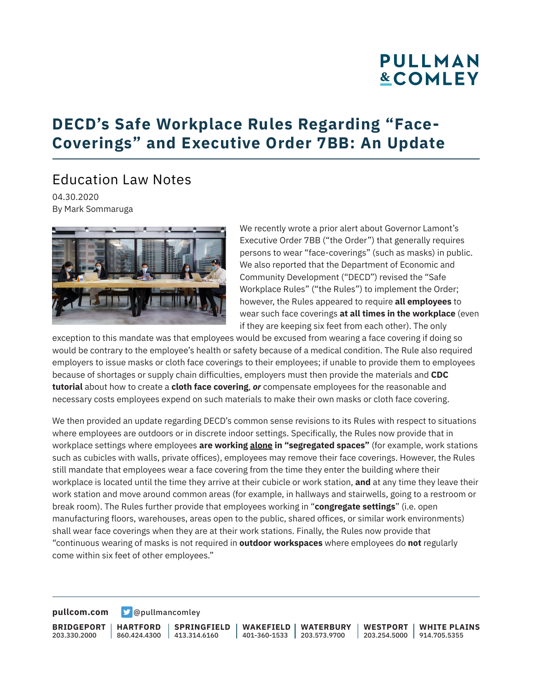# **PULLMAN &COMLEY**

## **DECD's Safe Workplace Rules Regarding "Face-Coverings" and Executive Order 7BB: An Update**

### Education Law Notes

04.30.2020 By Mark Sommaruga



We recently wrote a prior alert about Governor Lamont's Executive Order 7BB ("the Order") that generally requires persons to wear "face-coverings" (such as masks) in public. We also reported that the Department of Economic and Community Development ("DECD") revised the "Safe Workplace Rules" ("the Rules") to implement the Order; however, the Rules appeared to require **all employees** to wear such face coverings **at all times in the workplace** (even if they are keeping six feet from each other). The only

exception to this mandate was that employees would be excused from wearing a face covering if doing so would be contrary to the employee's health or safety because of a medical condition. The Rule also required employers to issue masks or cloth face coverings to their employees; if unable to provide them to employees because of shortages or supply chain difficulties, employers must then provide the materials and **CDC tutorial** about how to create a **cloth face covering**, *or* compensate employees for the reasonable and necessary costs employees expend on such materials to make their own masks or cloth face covering.

We then provided an update regarding DECD's common sense revisions to its Rules with respect to situations where employees are outdoors or in discrete indoor settings. Specifically, the Rules now provide that in workplace settings where employees **are working alone in "segregated spaces"** (for example, work stations such as cubicles with walls, private offices), employees may remove their face coverings. However, the Rules still mandate that employees wear a face covering from the time they enter the building where their workplace is located until the time they arrive at their cubicle or work station, **and** at any time they leave their work station and move around common areas (for example, in hallways and stairwells, going to a restroom or break room). The Rules further provide that employees working in "**congregate settings**" (i.e. open manufacturing floors, warehouses, areas open to the public, shared offices, or similar work environments) shall wear face coverings when they are at their work stations. Finally, the Rules now provide that "continuous wearing of masks is not required in **outdoor workspaces** where employees do **not** regularly come within six feet of other employees."

**[pullcom.com](https://www.pullcom.com) g** [@pullmancomley](https://twitter.com/PullmanComley)

**BRIDGEPORT** 203.330.2000

**HARTFORD**

860.424.4300 413.314.6160 **SPRINGFIELD** **WAKEFIELD** 401-360-1533 203.573.9700 **WATERBURY**

**WESTPORT WHITE PLAINS** 203.254.5000 914.705.5355